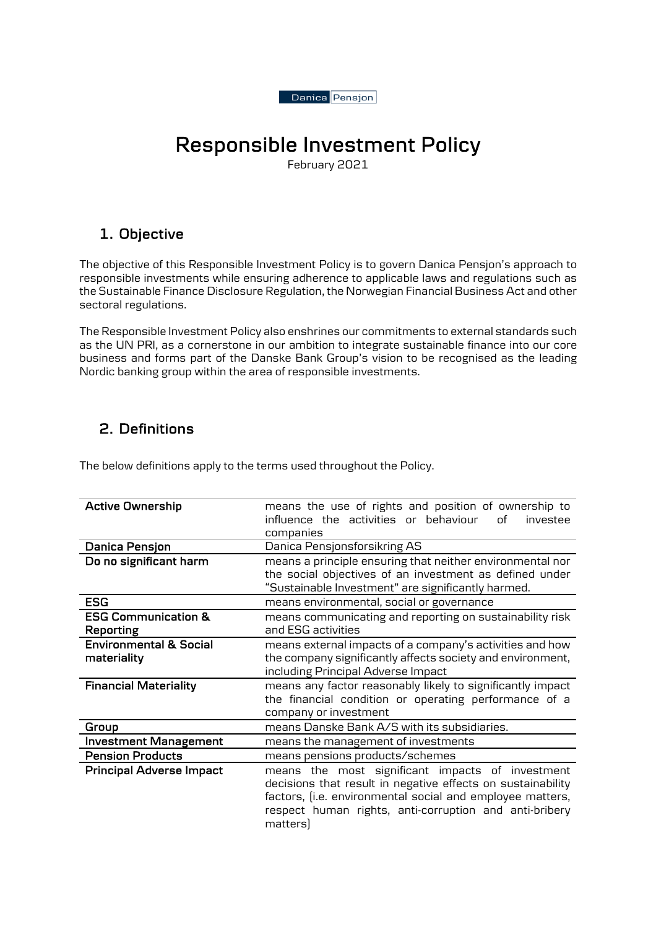

# Responsible Investment Policy

# 1. Objective

The objective of this Responsible Investment Policy is to govern Danica Pensjon's approach to responsible investments while ensuring adherence to applicable laws and regulations such as the Sustainable Finance Disclosure Regulation, the Norwegian Financial Business Act and other sectoral regulations.

The Responsible Investment Policy also enshrines our commitments to external standards such as the UN PRI, as a cornerstone in our ambition to integrate sustainable finance into our core business and forms part of the Danske Bank Group's vision to be recognised as the leading Nordic banking group within the area of responsible investments.

# 2. Definitions

The below definitions apply to the terms used throughout the Policy.

| <b>Active Ownership</b>           | means the use of rights and position of ownership to               |
|-----------------------------------|--------------------------------------------------------------------|
|                                   | influence the activities or behaviour<br>nf<br>investee            |
|                                   | companies                                                          |
| Danica Pensjon                    | Danica Pensjonsforsikring AS                                       |
| Do no significant harm            | means a principle ensuring that neither environmental nor          |
|                                   | the social objectives of an investment as defined under            |
|                                   | "Sustainable Investment" are significantly harmed.                 |
| <b>ESG</b>                        | means environmental, social or governance                          |
| <b>ESG Communication &amp;</b>    | means communicating and reporting on sustainability risk           |
| <b>Reporting</b>                  | and ESG activities                                                 |
| <b>Environmental &amp; Social</b> | means external impacts of a company's activities and how           |
| materiality                       | the company significantly affects society and environment,         |
|                                   | including Principal Adverse Impact                                 |
|                                   |                                                                    |
| <b>Financial Materiality</b>      | means any factor reasonably likely to significantly impact         |
|                                   | the financial condition or operating performance of a              |
|                                   | company or investment                                              |
| Group                             | means Danske Bank A/S with its subsidiaries.                       |
| <b>Investment Management</b>      | means the management of investments                                |
| <b>Pension Products</b>           | means pensions products/schemes                                    |
| <b>Principal Adverse Impact</b>   | means the most significant impacts of investment                   |
|                                   | decisions that result in negative effects on sustainability        |
|                                   | factors, (i.e. environmental social and employee matters,          |
|                                   | respect human rights, anti-corruption and anti-bribery<br>matters) |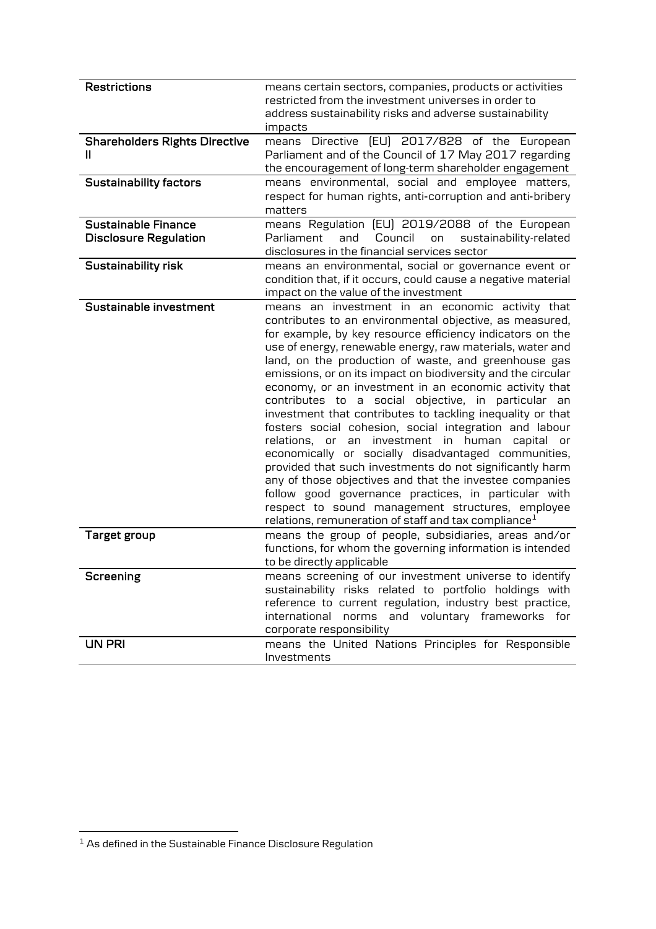| <b>Restrictions</b>                                 | means certain sectors, companies, products or activities<br>restricted from the investment universes in order to<br>address sustainability risks and adverse sustainability<br>impacts                                                                                                                                                                                                                                                                                                                                                                                                                                                                                                                                                                                                                                                                                                                                                                                                                         |
|-----------------------------------------------------|----------------------------------------------------------------------------------------------------------------------------------------------------------------------------------------------------------------------------------------------------------------------------------------------------------------------------------------------------------------------------------------------------------------------------------------------------------------------------------------------------------------------------------------------------------------------------------------------------------------------------------------------------------------------------------------------------------------------------------------------------------------------------------------------------------------------------------------------------------------------------------------------------------------------------------------------------------------------------------------------------------------|
| <b>Shareholders Rights Directive</b><br>Ш           | means Directive [EU] 2017/828 of the European<br>Parliament and of the Council of 17 May 2017 regarding<br>the encouragement of long-term shareholder engagement                                                                                                                                                                                                                                                                                                                                                                                                                                                                                                                                                                                                                                                                                                                                                                                                                                               |
| <b>Sustainability factors</b>                       | means environmental, social and employee matters,<br>respect for human rights, anti-corruption and anti-bribery<br>matters                                                                                                                                                                                                                                                                                                                                                                                                                                                                                                                                                                                                                                                                                                                                                                                                                                                                                     |
| Sustainable Finance<br><b>Disclosure Regulation</b> | means Regulation [EU] 2019/2088 of the European<br>Council<br>Parliament<br>and<br>sustainability-related<br>on<br>disclosures in the financial services sector                                                                                                                                                                                                                                                                                                                                                                                                                                                                                                                                                                                                                                                                                                                                                                                                                                                |
| Sustainability risk                                 | means an environmental, social or governance event or<br>condition that, if it occurs, could cause a negative material<br>impact on the value of the investment                                                                                                                                                                                                                                                                                                                                                                                                                                                                                                                                                                                                                                                                                                                                                                                                                                                |
| Sustainable investment                              | means an investment in an economic activity that<br>contributes to an environmental objective, as measured,<br>for example, by key resource efficiency indicators on the<br>use of energy, renewable energy, raw materials, water and<br>land, on the production of waste, and greenhouse gas<br>emissions, or on its impact on biodiversity and the circular<br>economy, or an investment in an economic activity that<br>contributes to a social objective, in particular an<br>investment that contributes to tackling inequality or that<br>fosters social cohesion, social integration and labour<br>relations, or an investment in human capital or<br>economically or socially disadvantaged communities,<br>provided that such investments do not significantly harm<br>any of those objectives and that the investee companies<br>follow good governance practices, in particular with<br>respect to sound management structures, employee<br>relations, remuneration of staff and tax compliance $1$ |
| <b>Target group</b>                                 | means the group of people, subsidiaries, areas and/or<br>functions, for whom the governing information is intended<br>to be directly applicable                                                                                                                                                                                                                                                                                                                                                                                                                                                                                                                                                                                                                                                                                                                                                                                                                                                                |
| Screening                                           | means screening of our investment universe to identify<br>sustainability risks related to portfolio holdings with<br>reference to current regulation, industry best practice,<br>international<br>norms and voluntary frameworks for<br>corporate responsibility                                                                                                                                                                                                                                                                                                                                                                                                                                                                                                                                                                                                                                                                                                                                               |
| <b>UN PRI</b>                                       | means the United Nations Principles for Responsible<br>Investments                                                                                                                                                                                                                                                                                                                                                                                                                                                                                                                                                                                                                                                                                                                                                                                                                                                                                                                                             |

 $\overline{\phantom{a}^1}$  As defined in the Sustainable Finance Disclosure Regulation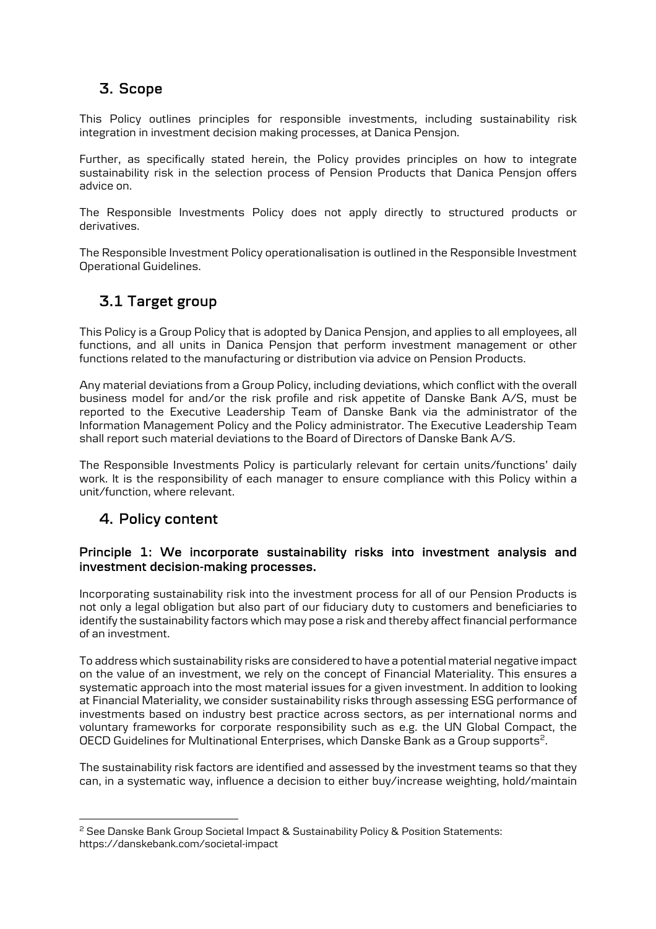# 3. Scope

This Policy outlines principles for responsible investments, including sustainability risk integration in investment decision making processes, at Danica Pensjon.

Further, as specifically stated herein, the Policy provides principles on how to integrate sustainability risk in the selection process of Pension Products that Danica Pensjon offers advice on.

The Responsible Investments Policy does not apply directly to structured products or derivatives.

The Responsible Investment Policy operationalisation is outlined in the Responsible Investment Operational Guidelines.

## 3.1 Target group

This Policy is a Group Policy that is adopted by Danica Pensjon, and applies to all employees, all functions, and all units in Danica Pensjon that perform investment management or other functions related to the manufacturing or distribution via advice on Pension Products.

Any material deviations from a Group Policy, including deviations, which conflict with the overall business model for and/or the risk profile and risk appetite of Danske Bank A/S, must be reported to the Executive Leadership Team of Danske Bank via the administrator of the Information Management Policy and the Policy administrator. The Executive Leadership Team shall report such material deviations to the Board of Directors of Danske Bank A/S.

The Responsible Investments Policy is particularly relevant for certain units/functions' daily work. It is the responsibility of each manager to ensure compliance with this Policy within a unit/function, where relevant.

## 4. Policy content

## Principle 1: We incorporate sustainability risks into investment analysis and investment decision-making processes.

Incorporating sustainability risk into the investment process for all of our Pension Products is not only a legal obligation but also part of our fiduciary duty to customers and beneficiaries to identify the sustainability factors which may pose a risk and thereby affect financial performance of an investment.

To address which sustainability risks are considered to have a potential material negative impact on the value of an investment, we rely on the concept of Financial Materiality. This ensures a systematic approach into the most material issues for a given investment. In addition to looking at Financial Materiality, we consider sustainability risks through assessing ESG performance of investments based on industry best practice across sectors, as per international norms and voluntary frameworks for corporate responsibility such as e.g. the UN Global Compact, the OECD Guidelines for Multinational Enterprises, which Danske Bank as a Group supports<sup>2</sup>.

The sustainability risk factors are identified and assessed by the investment teams so that they can, in a systematic way, influence a decision to either buy/increase weighting, hold/maintain

<sup>&</sup>lt;sup>2</sup> See Danske Bank Group Societal Impact & Sustainability Policy & Position Statements: https://danskebank.com/societal-impact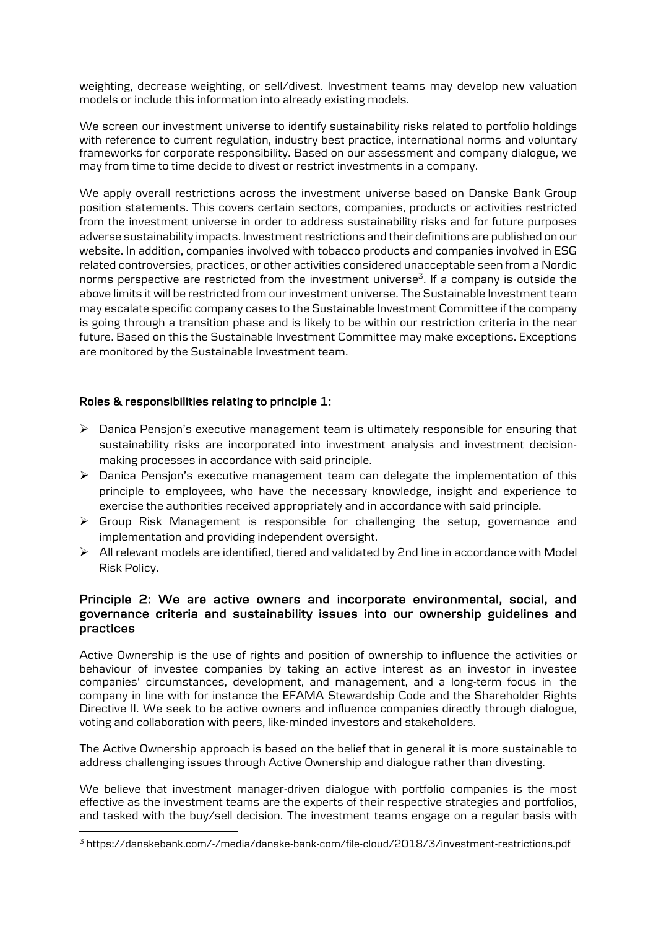weighting, decrease weighting, or sell/divest. Investment teams may develop new valuation models or include this information into already existing models.

We screen our investment universe to identify sustainability risks related to portfolio holdings with reference to current regulation, industry best practice, international norms and voluntary frameworks for corporate responsibility. Based on our assessment and company dialogue, we may from time to time decide to divest or restrict investments in a company.

We apply overall restrictions across the investment universe based on Danske Bank Group position statements. This covers certain sectors, companies, products or activities restricted from the investment universe in order to address sustainability risks and for future purposes adverse sustainability impacts. Investment restrictions and their definitions are published on our website. In addition, companies involved with tobacco products and companies involved in ESG related controversies, practices, or other activities considered unacceptable seen from a Nordic norms perspective are restricted from the investment universe<sup>3</sup>. If a company is outside the above limits it will be restricted from our investment universe. The Sustainable Investment team may escalate specific company cases to the Sustainable Investment Committee if the company is going through a transition phase and is likely to be within our restriction criteria in the near future. Based on this the Sustainable Investment Committee may make exceptions. Exceptions are monitored by the Sustainable Investment team.

#### Roles & responsibilities relating to principle 1:

- $\triangleright$  Danica Pension's executive management team is ultimately responsible for ensuring that sustainability risks are incorporated into investment analysis and investment decisionmaking processes in accordance with said principle.
- Ø Danica Pensjon's executive management team can delegate the implementation of this principle to employees, who have the necessary knowledge, insight and experience to exercise the authorities received appropriately and in accordance with said principle.
- $\triangleright$  Group Risk Management is responsible for challenging the setup, governance and implementation and providing independent oversight.
- $\triangleright$  All relevant models are identified, tiered and validated by 2nd line in accordance with Model Risk Policy.

#### Principle 2: We are active owners and incorporate environmental, social, and governance criteria and sustainability issues into our ownership guidelines and practices

Active Ownership is the use of rights and position of ownership to influence the activities or behaviour of investee companies by taking an active interest as an investor in investee companies' circumstances, development, and management, and a long-term focus in the company in line with for instance the EFAMA Stewardship Code and the Shareholder Rights Directive II. We seek to be active owners and influence companies directly through dialogue, voting and collaboration with peers, like-minded investors and stakeholders.

The Active Ownership approach is based on the belief that in general it is more sustainable to address challenging issues through Active Ownership and dialogue rather than divesting.

We believe that investment manager-driven dialogue with portfolio companies is the most effective as the investment teams are the experts of their respective strategies and portfolios, and tasked with the buy/sell decision. The investment teams engage on a regular basis with

<sup>3</sup> https://danskebank.com/-/media/danske-bank-com/file-cloud/2018/3/investment-restrictions.pdf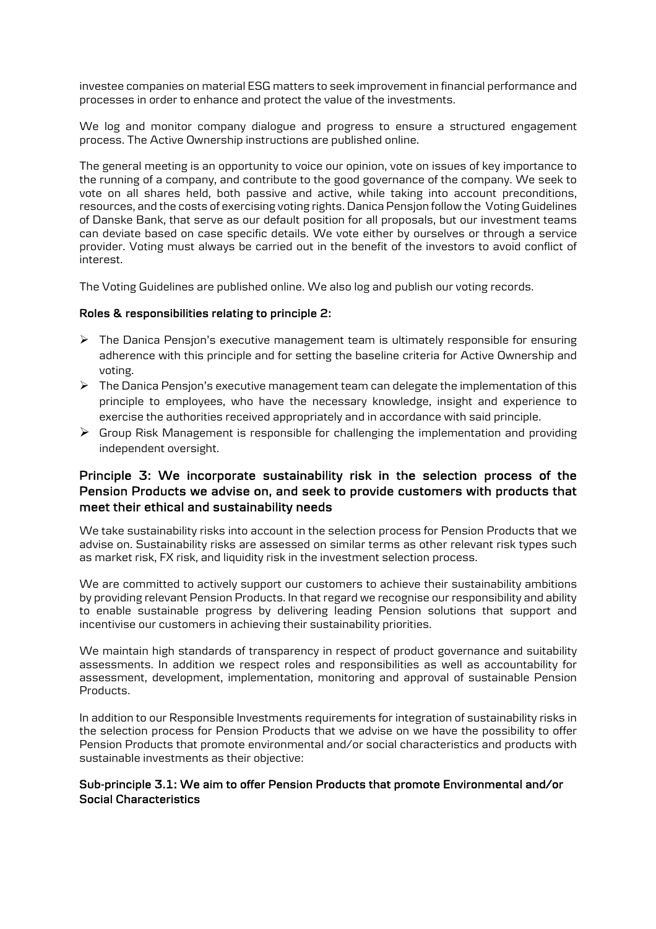investee companies on material ESG matters to seek improvement in financial performance and processes in order to enhance and protect the value of the investments.

We log and monitor company dialogue and progress to ensure a structured engagement process. The Active Ownership instructions are published online.

The general meeting is an opportunity to voice our opinion, vote on issues of key importance to the running of a company, and contribute to the good governance of the company. We seek to vote on all shares held, both passive and active, while taking into account preconditions, resources, and the costs of exercising voting rights. Danica Pensjon follow the Voting Guidelines of Danske Bank, that serve as our default position for all proposals, but our investment teams can deviate based on case specific details. We vote either by ourselves or through a service provider. Voting must always be carried out in the benefit of the investors to avoid conflict of interest.

The Voting Guidelines are published online. We also log and publish our voting records.

#### Roles & responsibilities relating to principle 2:

- $\triangleright$  The Danica Pensjon's executive management team is ultimately responsible for ensuring adherence with this principle and for setting the baseline criteria for Active Ownership and voting.
- Ø The Danica Pensjon's executive management team can delegate the implementation of this principle to employees, who have the necessary knowledge, insight and experience to exercise the authorities received appropriately and in accordance with said principle.
- $\triangleright$  Group Risk Management is responsible for challenging the implementation and providing independent oversight.

## Principle 3: We incorporate sustainability risk in the selection process of the Pension Products we advise on, and seek to provide customers with products that meet their ethical and sustainability needs

We take sustainability risks into account in the selection process for Pension Products that we advise on. Sustainability risks are assessed on similar terms as other relevant risk types such as market risk, FX risk, and liquidity risk in the investment selection process.

We are committed to actively support our customers to achieve their sustainability ambitions by providing relevant Pension Products. In that regard we recognise our responsibility and ability to enable sustainable progress by delivering leading Pension solutions that support and incentivise our customers in achieving their sustainability priorities.

We maintain high standards of transparency in respect of product governance and suitability assessments. In addition we respect roles and responsibilities as well as accountability for assessment, development, implementation, monitoring and approval of sustainable Pension Products.

In addition to our Responsible Investments requirements for integration of sustainability risks in the selection process for Pension Products that we advise on we have the possibility to offer Pension Products that promote environmental and/or social characteristics and products with sustainable investments as their objective:

#### Sub-principle 3.1: We aim to offer Pension Products that promote Environmental and/or Social Characteristics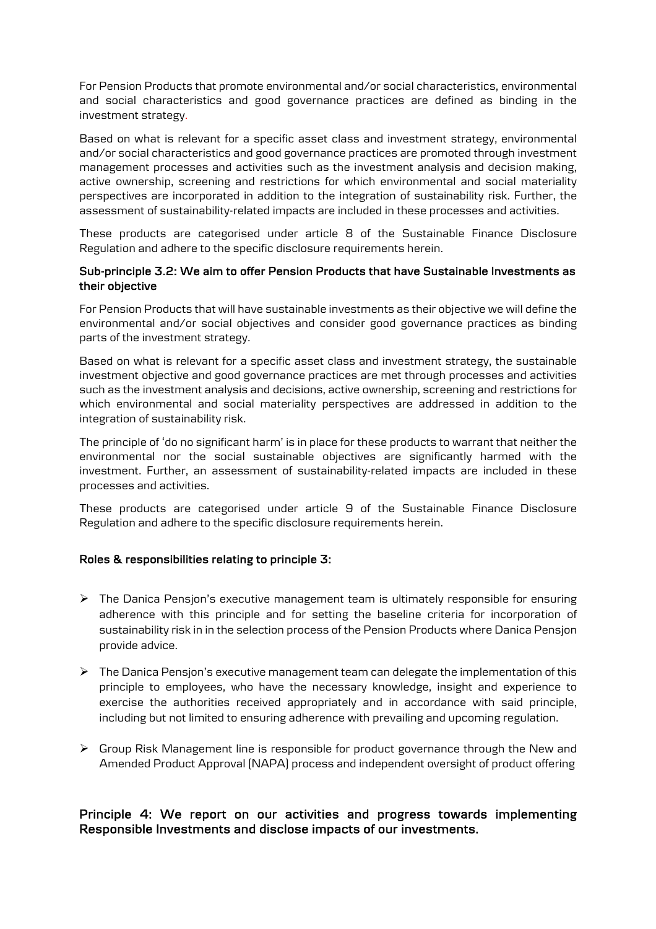For Pension Products that promote environmental and/or social characteristics, environmental and social characteristics and good governance practices are defined as binding in the investment strategy.

Based on what is relevant for a specific asset class and investment strategy, environmental and/or social characteristics and good governance practices are promoted through investment management processes and activities such as the investment analysis and decision making, active ownership, screening and restrictions for which environmental and social materiality perspectives are incorporated in addition to the integration of sustainability risk. Further, the assessment of sustainability-related impacts are included in these processes and activities.

These products are categorised under article 8 of the Sustainable Finance Disclosure Regulation and adhere to the specific disclosure requirements herein.

#### Sub-principle 3.2: We aim to offer Pension Products that have Sustainable Investments as their objective

For Pension Products that will have sustainable investments as their objective we will define the environmental and/or social objectives and consider good governance practices as binding parts of the investment strategy.

Based on what is relevant for a specific asset class and investment strategy, the sustainable investment objective and good governance practices are met through processes and activities such as the investment analysis and decisions, active ownership, screening and restrictions for which environmental and social materiality perspectives are addressed in addition to the integration of sustainability risk.

The principle of 'do no significant harm' is in place for these products to warrant that neither the environmental nor the social sustainable objectives are significantly harmed with the investment. Further, an assessment of sustainability-related impacts are included in these processes and activities.

These products are categorised under article 9 of the Sustainable Finance Disclosure Regulation and adhere to the specific disclosure requirements herein.

#### Roles & responsibilities relating to principle 3:

- $\triangleright$  The Danica Pensjon's executive management team is ultimately responsible for ensuring adherence with this principle and for setting the baseline criteria for incorporation of sustainability risk in in the selection process of the Pension Products where Danica Pensjon provide advice.
- $\triangleright$  The Danica Pension's executive management team can delegate the implementation of this principle to employees, who have the necessary knowledge, insight and experience to exercise the authorities received appropriately and in accordance with said principle, including but not limited to ensuring adherence with prevailing and upcoming regulation.
- $\triangleright$  Group Risk Management line is responsible for product governance through the New and Amended Product Approval (NAPA) process and independent oversight of product offering

## Principle 4: We report on our activities and progress towards implementing Responsible Investments and disclose impacts of our investments.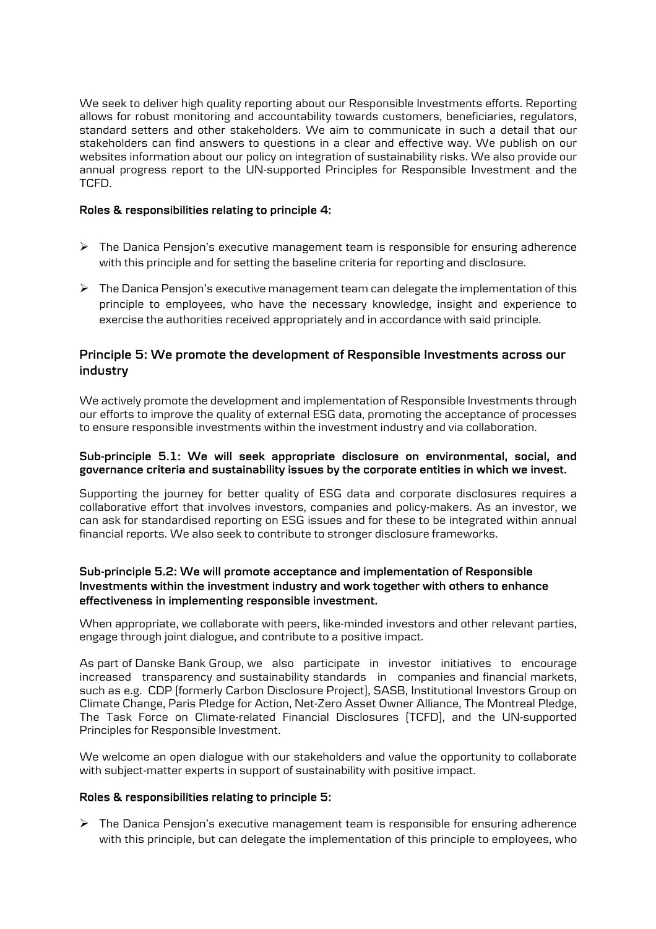We seek to deliver high quality reporting about our Responsible Investments efforts. Reporting allows for robust monitoring and accountability towards customers, beneficiaries, regulators, standard setters and other stakeholders. We aim to communicate in such a detail that our stakeholders can find answers to questions in a clear and effective way. We publish on our websites information about our policy on integration of sustainability risks. We also provide our annual progress report to the UN-supported Principles for Responsible Investment and the TCFD.

#### Roles & responsibilities relating to principle 4:

- $\triangleright$  The Danica Pensjon's executive management team is responsible for ensuring adherence with this principle and for setting the baseline criteria for reporting and disclosure.
- $\triangleright$  The Danica Pensjon's executive management team can delegate the implementation of this principle to employees, who have the necessary knowledge, insight and experience to exercise the authorities received appropriately and in accordance with said principle.

## Principle 5: We promote the development of Responsible Investments across our industry

We actively promote the development and implementation of Responsible Investments through our efforts to improve the quality of external ESG data, promoting the acceptance of processes to ensure responsible investments within the investment industry and via collaboration.

#### Sub-principle 5.1: We will seek appropriate disclosure on environmental, social, and governance criteria and sustainability issues by the corporate entities in which we invest.

Supporting the journey for better quality of ESG data and corporate disclosures requires a collaborative effort that involves investors, companies and policy-makers. As an investor, we can ask for standardised reporting on ESG issues and for these to be integrated within annual financial reports. We also seek to contribute to stronger disclosure frameworks.

#### Sub-principle 5.2: We will promote acceptance and implementation of Responsible Investments within the investment industry and work together with others to enhance effectiveness in implementing responsible investment.

When appropriate, we collaborate with peers, like-minded investors and other relevant parties, engage through joint dialogue, and contribute to a positive impact.

As part of Danske Bank Group, we also participate in investor initiatives to encourage increased transparency and sustainability standards in companies and financial markets, such as e.g. CDP (formerly Carbon Disclosure Project), SASB, Institutional Investors Group on Climate Change, Paris Pledge for Action, Net-Zero Asset Owner Alliance, The Montreal Pledge, The Task Force on Climate-related Financial Disclosures (TCFD), and the UN-supported Principles for Responsible Investment.

We welcome an open dialogue with our stakeholders and value the opportunity to collaborate with subject-matter experts in support of sustainability with positive impact.

#### Roles & responsibilities relating to principle 5:

 $\triangleright$  The Danica Pensjon's executive management team is responsible for ensuring adherence with this principle, but can delegate the implementation of this principle to employees, who